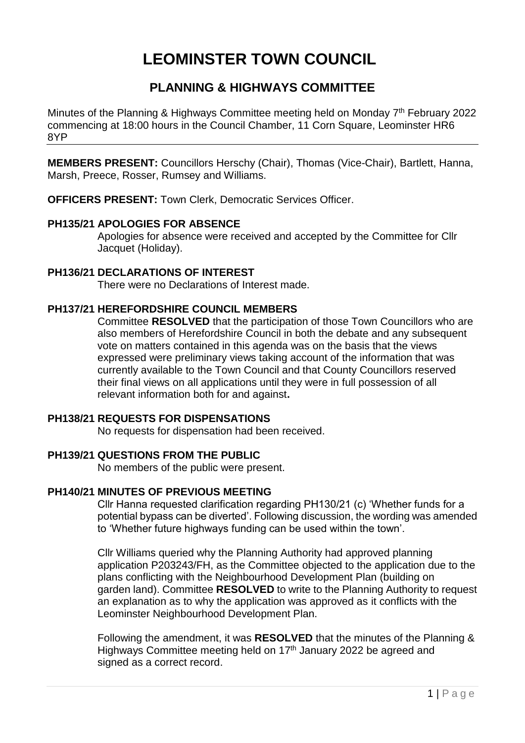# **LEOMINSTER TOWN COUNCIL**

# **PLANNING & HIGHWAYS COMMITTEE**

Minutes of the Planning & Highways Committee meeting held on Monday 7<sup>th</sup> February 2022 commencing at 18:00 hours in the Council Chamber, 11 Corn Square, Leominster HR6 8YP

**MEMBERS PRESENT:** Councillors Herschy (Chair), Thomas (Vice-Chair), Bartlett, Hanna, Marsh, Preece, Rosser, Rumsey and Williams.

**OFFICERS PRESENT:** Town Clerk, Democratic Services Officer.

# **PH135/21 APOLOGIES FOR ABSENCE**

Apologies for absence were received and accepted by the Committee for Cllr Jacquet (Holiday).

# **PH136/21 DECLARATIONS OF INTEREST**

There were no Declarations of Interest made.

# **PH137/21 HEREFORDSHIRE COUNCIL MEMBERS**

Committee **RESOLVED** that the participation of those Town Councillors who are also members of Herefordshire Council in both the debate and any subsequent vote on matters contained in this agenda was on the basis that the views expressed were preliminary views taking account of the information that was currently available to the Town Council and that County Councillors reserved their final views on all applications until they were in full possession of all relevant information both for and against**.**

#### **PH138/21 REQUESTS FOR DISPENSATIONS**

No requests for dispensation had been received.

# **PH139/21 QUESTIONS FROM THE PUBLIC**

No members of the public were present.

# **PH140/21 MINUTES OF PREVIOUS MEETING**

Cllr Hanna requested clarification regarding PH130/21 (c) 'Whether funds for a potential bypass can be diverted'. Following discussion, the wording was amended to 'Whether future highways funding can be used within the town'.

Cllr Williams queried why the Planning Authority had approved planning application P203243/FH, as the Committee objected to the application due to the plans conflicting with the Neighbourhood Development Plan (building on garden land). Committee **RESOLVED** to write to the Planning Authority to request an explanation as to why the application was approved as it conflicts with the Leominster Neighbourhood Development Plan.

Following the amendment, it was **RESOLVED** that the minutes of the Planning & Highways Committee meeting held on 17<sup>th</sup> January 2022 be agreed and signed as a correct record.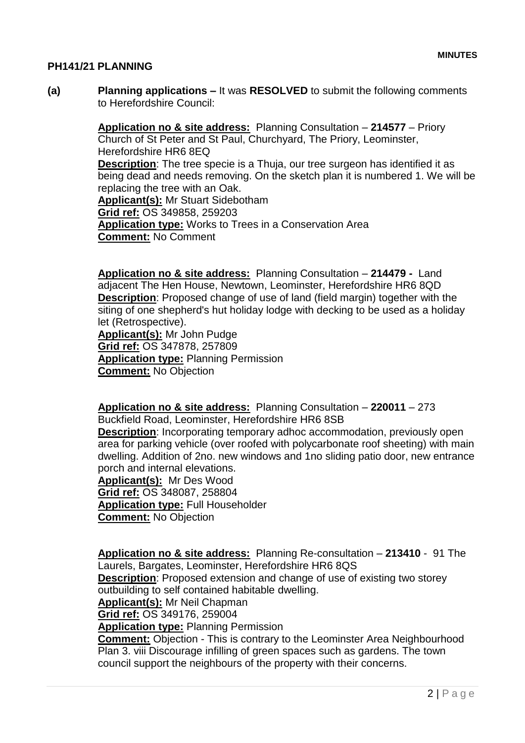# **PH141/21 PLANNING**

**(a) Planning applications –** It was **RESOLVED** to submit the following comments to Herefordshire Council:

> **Application no & site address:** Planning Consultation – **214577** – Priory Church of St Peter and St Paul, Churchyard, The Priory, Leominster, Herefordshire HR6 8EQ **Description**: The tree specie is a Thuja, our tree surgeon has identified it as being dead and needs removing. On the sketch plan it is numbered 1. We will be replacing the tree with an Oak. **Applicant(s):** Mr Stuart Sidebotham **Grid ref:** OS 349858, 259203 **Application type:** Works to Trees in a Conservation Area **Comment:** No Comment

**Application no & site address:** Planning Consultation – **214479 -** Land adjacent The Hen House, Newtown, Leominster, Herefordshire HR6 8QD **Description**: Proposed change of use of land (field margin) together with the siting of one shepherd's hut holiday lodge with decking to be used as a holiday let (Retrospective).

**Applicant(s):** Mr John Pudge **Grid ref:** OS 347878, 257809 **Application type:** Planning Permission **Comment:** No Objection

**Application no & site address:** Planning Consultation – **220011** – 273 Buckfield Road, Leominster, Herefordshire HR6 8SB

**Description**: Incorporating temporary adhoc accommodation, previously open area for parking vehicle (over roofed with polycarbonate roof sheeting) with main dwelling. Addition of 2no. new windows and 1no sliding patio door, new entrance porch and internal elevations.

**Applicant(s):** Mr Des Wood **Grid ref:** OS 348087, 258804 **Application type:** Full Householder **Comment:** No Objection

**Application no & site address:** Planning Re-consultation – **213410** - 91 The Laurels, Bargates, Leominster, Herefordshire HR6 8QS **Description**: Proposed extension and change of use of existing two storey outbuilding to self contained habitable dwelling. **Applicant(s):** Mr Neil Chapman **Grid ref:** OS 349176, 259004 **Application type:** Planning Permission **Comment:** Objection - This is contrary to the Leominster Area Neighbourhood Plan 3. viii Discourage infilling of green spaces such as gardens. The town council support the neighbours of the property with their concerns.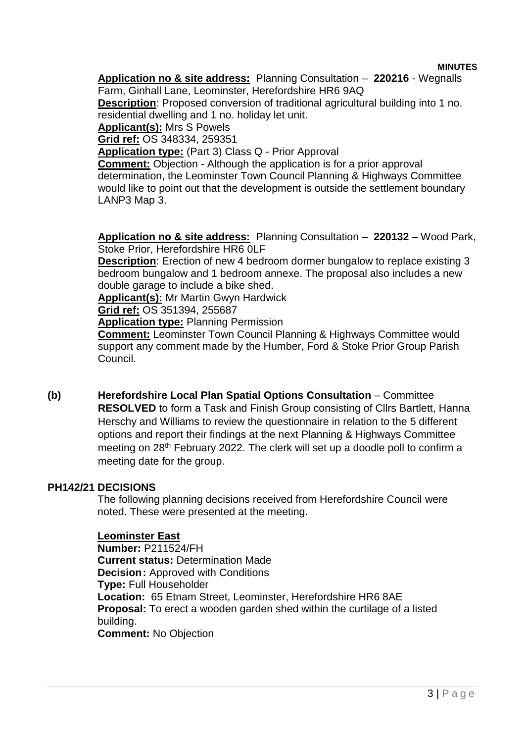**Application no & site address:** Planning Consultation – **220216** - Wegnalls Farm, Ginhall Lane, Leominster, Herefordshire HR6 9AQ

**Description**: Proposed conversion of traditional agricultural building into 1 no. residential dwelling and 1 no. holiday let unit.

**Applicant(s):** Mrs S Powels

**Grid ref:** OS 348334, 259351

**Application type:** (Part 3) Class Q - Prior Approval

**Comment:** Objection - Although the application is for a prior approval determination, the Leominster Town Council Planning & Highways Committee would like to point out that the development is outside the settlement boundary LANP3 Map 3.

**Application no & site address:** Planning Consultation – **220132** – Wood Park, Stoke Prior, Herefordshire HR6 0LF

**Description**: Erection of new 4 bedroom dormer bungalow to replace existing 3 bedroom bungalow and 1 bedroom annexe. The proposal also includes a new double garage to include a bike shed.

**Applicant(s):** Mr Martin Gwyn Hardwick

**Grid ref:** OS 351394, 255687

**Application type:** Planning Permission

**Comment:** Leominster Town Council Planning & Highways Committee would support any comment made by the Humber, Ford & Stoke Prior Group Parish Council.

**(b) Herefordshire Local Plan Spatial Options Consultation** – Committee **RESOLVED** to form a Task and Finish Group consisting of Cllrs Bartlett, Hanna Herschy and Williams to review the questionnaire in relation to the 5 different options and report their findings at the next Planning & Highways Committee meeting on 28<sup>th</sup> February 2022. The clerk will set up a doodle poll to confirm a meeting date for the group.

#### **PH142/21 DECISIONS**

The following planning decisions received from Herefordshire Council were noted. These were presented at the meeting.

#### **Leominster East**

**Number:** P211524/FH **Current status:** Determination Made **Decision:** Approved with Conditions **Type:** Full Householder **Location:** 65 Etnam Street, Leominster, Herefordshire HR6 8AE **Proposal:** To erect a wooden garden shed within the curtilage of a listed building.

**Comment:** No Objection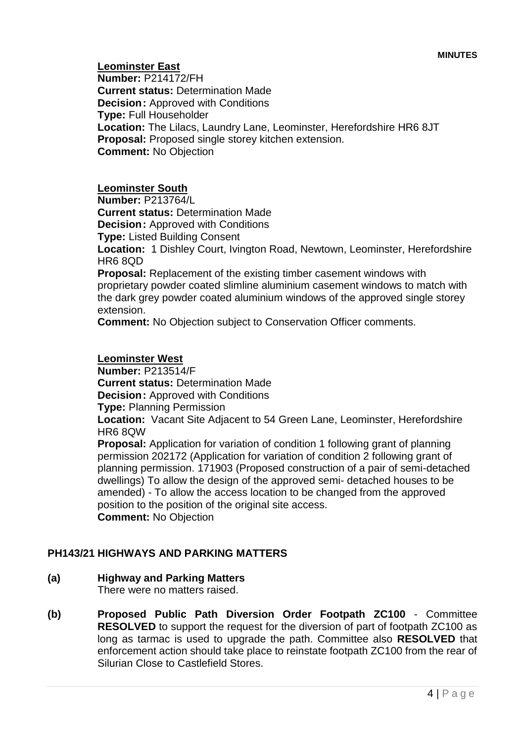**Leominster East Number:** P214172/FH **Current status:** Determination Made **Decision:** Approved with Conditions **Type:** Full Householder **Location:** The Lilacs, Laundry Lane, Leominster, Herefordshire HR6 8JT **Proposal:** Proposed single storey kitchen extension. **Comment:** No Objection

#### **Leominster South**

**Number:** P213764/L

**Current status:** Determination Made **Decision: Approved with Conditions** 

**Type:** Listed Building Consent

**Location:** 1 Dishley Court, Ivington Road, Newtown, Leominster, Herefordshire HR6 8QD

**Proposal:** Replacement of the existing timber casement windows with proprietary powder coated slimline aluminium casement windows to match with the dark grey powder coated aluminium windows of the approved single storey extension.

**Comment:** No Objection subject to Conservation Officer comments.

#### **Leominster West**

**Number:** P213514/F **Current status:** Determination Made **Decision:** Approved with Conditions **Type:** Planning Permission

**Location:** Vacant Site Adjacent to 54 Green Lane, Leominster, Herefordshire HR6 8QW

**Proposal:** Application for variation of condition 1 following grant of planning permission 202172 (Application for variation of condition 2 following grant of planning permission. 171903 (Proposed construction of a pair of semi-detached dwellings) To allow the design of the approved semi- detached houses to be amended) - To allow the access location to be changed from the approved position to the position of the original site access. **Comment:** No Objection

# **PH143/21 HIGHWAYS AND PARKING MATTERS**

#### **(a) Highway and Parking Matters**

There were no matters raised.

**(b) Proposed Public Path Diversion Order Footpath ZC100** - Committee **RESOLVED** to support the request for the diversion of part of footpath ZC100 as long as tarmac is used to upgrade the path. Committee also **RESOLVED** that enforcement action should take place to reinstate footpath ZC100 from the rear of Silurian Close to Castlefield Stores.